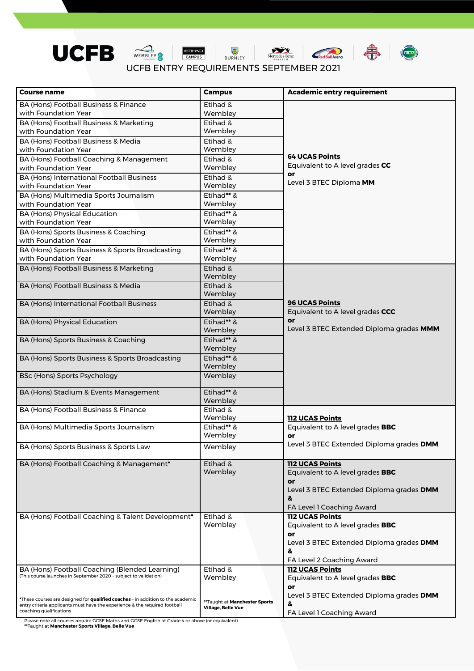







UCFB ENTRY REQUIREMENTS SEPTEMBER 2021

| <b>Course name</b>                                                                                    | <b>Campus</b>                 | <b>Academic entry requirement</b>                                                  |  |  |  |  |
|-------------------------------------------------------------------------------------------------------|-------------------------------|------------------------------------------------------------------------------------|--|--|--|--|
| BA (Hons) Football Business & Finance                                                                 | Etihad &                      |                                                                                    |  |  |  |  |
| with Foundation Year                                                                                  | Wembley                       |                                                                                    |  |  |  |  |
| BA (Hons) Football Business & Marketing                                                               | Etihad &                      |                                                                                    |  |  |  |  |
| with Foundation Year                                                                                  | Wembley                       |                                                                                    |  |  |  |  |
| BA (Hons) Football Business & Media                                                                   | Etihad &                      |                                                                                    |  |  |  |  |
| with Foundation Year                                                                                  | Wembley                       |                                                                                    |  |  |  |  |
| BA (Hons) Football Coaching & Management                                                              | Etihad &                      | <b>64 UCAS Points</b>                                                              |  |  |  |  |
| with Foundation Year                                                                                  | Wembley                       | Equivalent to A level grades CC                                                    |  |  |  |  |
| BA (Hons) International Football Business                                                             | Etihad &                      | or<br>Level 3 BTEC Diploma MM                                                      |  |  |  |  |
| with Foundation Year                                                                                  | Wembley                       |                                                                                    |  |  |  |  |
| BA (Hons) Multimedia Sports Journalism                                                                | Etihad** &                    |                                                                                    |  |  |  |  |
| with Foundation Year                                                                                  | Wembley                       |                                                                                    |  |  |  |  |
| <b>BA (Hons) Physical Education</b>                                                                   | Etihad** &                    |                                                                                    |  |  |  |  |
| with Foundation Year                                                                                  | Wembley                       |                                                                                    |  |  |  |  |
| BA (Hons) Sports Business & Coaching                                                                  | Etihad** &                    |                                                                                    |  |  |  |  |
| with Foundation Year                                                                                  | Wembley                       |                                                                                    |  |  |  |  |
| BA (Hons) Sports Business & Sports Broadcasting                                                       | Etihad** &                    |                                                                                    |  |  |  |  |
| with Foundation Year                                                                                  | Wembley                       |                                                                                    |  |  |  |  |
| BA (Hons) Football Business & Marketing                                                               | Etihad &                      |                                                                                    |  |  |  |  |
|                                                                                                       | Wembley                       |                                                                                    |  |  |  |  |
| BA (Hons) Football Business & Media                                                                   | Etihad &                      |                                                                                    |  |  |  |  |
|                                                                                                       | Wembley                       | <b>96 UCAS Points</b>                                                              |  |  |  |  |
| <b>BA (Hons) International Football Business</b>                                                      | Etihad &<br>Wembley           |                                                                                    |  |  |  |  |
|                                                                                                       |                               | Equivalent to A level grades CCC<br>or<br>Level 3 BTEC Extended Diploma grades MMM |  |  |  |  |
| <b>BA (Hons) Physical Education</b>                                                                   | Etihad** &<br>Wembley         |                                                                                    |  |  |  |  |
|                                                                                                       |                               |                                                                                    |  |  |  |  |
| BA (Hons) Sports Business & Coaching                                                                  | Etihad** &<br>Wembley         |                                                                                    |  |  |  |  |
|                                                                                                       | Etihad** &                    |                                                                                    |  |  |  |  |
| BA (Hons) Sports Business & Sports Broadcasting                                                       | Wembley                       |                                                                                    |  |  |  |  |
| <b>BSc (Hons) Sports Psychology</b>                                                                   | Wembley                       |                                                                                    |  |  |  |  |
|                                                                                                       |                               |                                                                                    |  |  |  |  |
| BA (Hons) Stadium & Events Management                                                                 | Etihad** &                    |                                                                                    |  |  |  |  |
|                                                                                                       | Wembley                       |                                                                                    |  |  |  |  |
| BA (Hons) Football Business & Finance                                                                 | Etihad &                      |                                                                                    |  |  |  |  |
|                                                                                                       | Wembley                       | <b>112 UCAS Points</b>                                                             |  |  |  |  |
| BA (Hons) Multimedia Sports Journalism                                                                | Etihad** &                    | Equivalent to A level grades BBC                                                   |  |  |  |  |
|                                                                                                       | Wembley                       | or                                                                                 |  |  |  |  |
| BA (Hons) Sports Business & Sports Law                                                                | Wembley                       | Level 3 BTEC Extended Diploma grades DMM                                           |  |  |  |  |
|                                                                                                       |                               |                                                                                    |  |  |  |  |
| BA (Hons) Football Coaching & Management*                                                             | Etihad &<br>Wembley           | <b>112 UCAS Points</b>                                                             |  |  |  |  |
|                                                                                                       |                               | Equivalent to A level grades <b>BBC</b><br>or                                      |  |  |  |  |
|                                                                                                       |                               | Level 3 BTEC Extended Diploma grades DMM                                           |  |  |  |  |
|                                                                                                       |                               | &                                                                                  |  |  |  |  |
|                                                                                                       |                               | FA Level 1 Coaching Award                                                          |  |  |  |  |
| BA (Hons) Football Coaching & Talent Development*                                                     | Etihad &                      | <b>112 UCAS Points</b>                                                             |  |  |  |  |
|                                                                                                       | Wembley                       | Equivalent to A level grades BBC                                                   |  |  |  |  |
|                                                                                                       |                               | or                                                                                 |  |  |  |  |
|                                                                                                       |                               | Level 3 BTEC Extended Diploma grades DMM                                           |  |  |  |  |
|                                                                                                       |                               | &                                                                                  |  |  |  |  |
|                                                                                                       |                               | FA Level 2 Coaching Award                                                          |  |  |  |  |
| BA (Hons) Football Coaching (Blended Learning)                                                        | Etihad &                      | <b>112 UCAS Points</b>                                                             |  |  |  |  |
| (This course launches in September 2020 - subject to validation)                                      | Wembley                       | Equivalent to A level grades <b>BBC</b>                                            |  |  |  |  |
|                                                                                                       |                               | or                                                                                 |  |  |  |  |
| *These courses are designed for qualified coaches - in addition to the academic                       | **Taught at Manchester Sports | Level 3 BTEC Extended Diploma grades DMM                                           |  |  |  |  |
| entry criteria applicants must have the experience & the required football<br>coaching qualifications | Village, Belle Vue            | &                                                                                  |  |  |  |  |
|                                                                                                       |                               | FA Level 1 Coaching Award                                                          |  |  |  |  |

Please note all courses require GCSE Maths and GCSE English at Grade 4 or above (or equivalent) **\*\***Taught at **Manchester Sports Village, Belle Vue**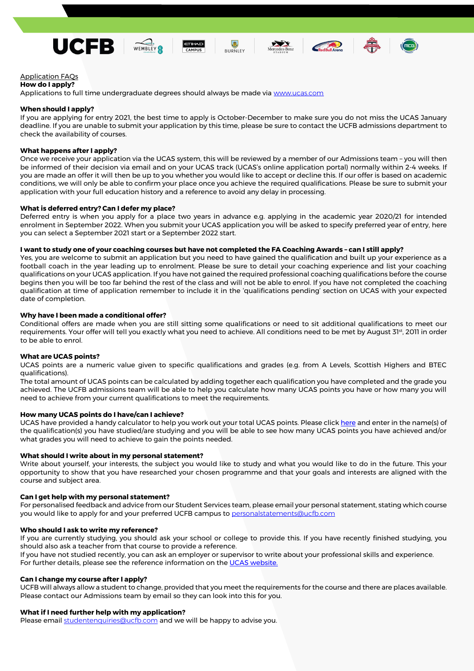











Application FAQs

### **How do I apply?**

Applications to full time undergraduate degrees should always be made via [www.ucas.com](http://www.ucas.com/)

# **When should I apply?**

If you are applying for entry 2021, the best time to apply is October-December to make sure you do not miss the UCAS January deadline. If you are unable to submit your application by this time, please be sure to contact the UCFB admissions department to check the availability of courses.

# **What happens after I apply?**

Once we receive your application via the UCAS system, this will be reviewed by a member of our Admissions team – you will then be informed of their decision via email and on your UCAS track (UCAS's online application portal) normally within 2-4 weeks. If you are made an offer it will then be up to you whether you would like to accept or decline this. If our offer is based on academic conditions, we will only be able to confirm your place once you achieve the required qualifications. Please be sure to submit your application with your full education history and a reference to avoid any delay in processing.

### **What is deferred entry? Can I defer my place?**

Deferred entry is when you apply for a place two years in advance e.g. applying in the academic year 2020/21 for intended enrolment in September 2022. When you submit your UCAS application you will be asked to specify preferred year of entry, here you can select a September 2021 start or a September 2022 start.

### **I want to study one of your coaching courses but have not completed the FA Coaching Awards – can I still apply?**

UCAS have provided a handy calculator to help you work out your total UCAS points. Please click [here](http://www.ucas.com/ucas/tariff-calculator) and enter in the name(s) of the qualification(s) you have studied/are studying and you will be able to see how many UCAS points you have achieved and/or what grades you will need to achieve to gain the points needed.

Yes, you are welcome to submit an application but you need to have gained the qualification and built up your experience as a football coach in the year leading up to enrolment. Please be sure to detail your coaching experience and list your coaching qualifications on your UCAS application. If you have not gained the required professional coaching qualifications before the course begins then you will be too far behind the rest of the class and will not be able to enrol. If you have not completed the coaching qualification at time of application remember to include it in the 'qualifications pending' section on UCAS with your expected date of completion.

If you have not studied recently, you can ask an employer or supervisor to write about your professional skills and experience. For further details, please see the reference information on the [UCAS website.](https://www.ucas.com/undergraduate/applying-university/how-get-ucas-undergraduate-reference)

### **Why have I been made a conditional offer?**

Conditional offers are made when you are still sitting some qualifications or need to sit additional qualifications to meet our requirements. Your offer will tell you exactly what you need to achieve. All conditions need to be met by August 31st, 2011 in order to be able to enrol.

# **What are UCAS points?**

UCAS points are a numeric value given to specific qualifications and grades (e.g. from A Levels, Scottish Highers and BTEC qualifications).

The total amount of UCAS points can be calculated by adding together each qualification you have completed and the grade you achieved. The UCFB admissions team will be able to help you calculate how many UCAS points you have or how many you will need to achieve from your current qualifications to meet the requirements.

# **How many UCAS points do I have/can I achieve?**

# **What should I write about in my personal statement?**

Write about yourself, your interests, the subject you would like to study and what you would like to do in the future. This your opportunity to show that you have researched your chosen programme and that your goals and interests are aligned with the course and subject area.

### **Can I get help with my personal statement?**

For personalised feedback and advice from our Student Services team, please email your personal statement, stating which course

you would like to apply for and your preferred UCFB campus to [personalstatements@ucfb.com](mailto:personalstatements@ucfb.com)

#### **Who should I ask to write my reference?**

If you are currently studying, you should ask your school or college to provide this. If you have recently finished studying, you should also ask a teacher from that course to provide a reference.

#### **Can I change my course after I apply?**

UCFB will always allow a student to change, provided that you meet the requirements for the course and there are places available. Please contact our Admissions team by email so they can look into this for you.

#### **What if I need further help with my application?**

Please email [studentenquiries@ucfb.com](mailto:studentenquiries@ucfb.com) and we will be happy to advise you.